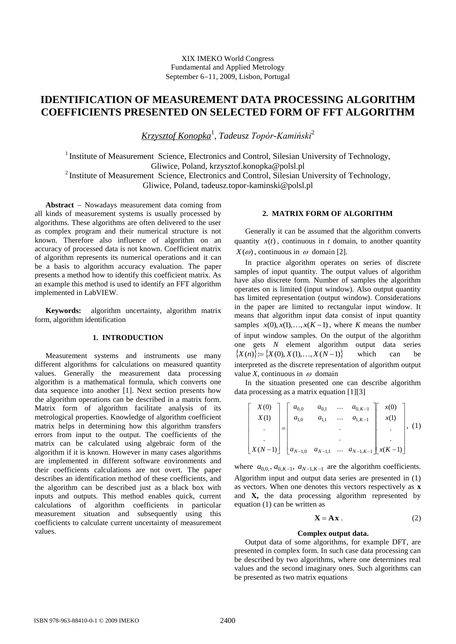# **IDENTIFICATION OF MEASUREMENT DATA PROCESSING ALGORITHM COEFFICIENTS PRESENTED ON SELECTED FORM OF FFT ALGORITHM**

*Krzysztof Konopka*<sup>1</sup> *, Tadeusz Topór-Kamiński*<sup>2</sup>

<sup>1</sup> Institute of Measurement Science, Electronics and Control, Silesian University of Technology, Gliwice, Poland, [krzysztof.konopka@polsl.pl](mailto:krzysztof.konopka@polsl.pl)

<sup>2</sup> Institute of Measurement Science, Electronics and Control, Silesian University of Technology,

Gliwice, Poland, [tadeusz.topor-kaminski@polsl.pl](mailto:tadeusz.topor-kaminski@polsl.pl)

Abstract - Nowadays measurement data coming from all kinds of measurement systems is usually processed by algorithms. These algorithms are often delivered to the user as complex program and their numerical structure is not known. Therefore also influence of algorithm on an accuracy of processed data is not known. Coefficient matrix of algorithm represents its numerical operations and it can be a basis to algorithm accuracy evaluation. The paper presents a method how to identify this coefficient matrix. As an example this method is used to identify an FFT algorithm implemented in LabVIEW.

**Keywords:** algorithm uncertainty, algorithm matrix form, algorithm identification

# **1. INTRODUCTION**

Measurement systems and instruments use many different algorithms for calculations on measured quantity values. Generally the measurement data processing algorithm is a mathematical formula, which converts one data sequence into another [1]. Next section presents how the algorithm operations can be described in a matrix form. Matrix form of algorithm facilitate analysis of its metrological properties. Knowledge of algorithm coefficient matrix helps in determining how this algorithm transfers errors from input to the output. The coefficients of the matrix can be calculated using algebraic form of the algorithm if it is known. However in many cases algorithms are implemented in different software environments and their coefficients calculations are not overt. The paper describes an identification method of these coefficients, and the algorithm can be described just as a black box with inputs and outputs. This method enables quick, current calculations of algorithm coefficients in particular measurement situation and subsequently using this coefficients to calculate current uncertainty of measurement values.

# **2. MATRIX FORM OF ALGORITHM**

Generally it can be assumed that the algorithm converts quantity  $x(t)$ , continuous in *t* domain, to another quantity  $X(\omega)$ , continuous in  $\omega$  domain [2].

In practice algorithm operates on series of discrete samples of input quantity. The output values of algorithm have also discrete form. Number of samples the algorithm operates on is limited (input window). Also output quantity has limited representation (output window). Considerations in the paper are limited to rectangular input window. It means that algorithm input data consist of input quantity samples  $x(0), x(1),..., x(K-1)$ , where *K* means the number of input window samples. On the output of the algorithm one gets *N* element algorithm output data series  $\{X(n)\}:=\{X(0), X(1),..., X(N-1)\}\$ which can be interpreted as the discrete representation of algorithm output value *X*, continuous in  $\omega$  domain

In the situation presented one can describe algorithm data processing as a matrix equation [1][3]

$$
\begin{bmatrix}\nX(0) \\
X(1) \\
\vdots \\
X(N-1)\n\end{bmatrix} = \begin{bmatrix}\na_{0,0} & a_{0,1} & \dots & a_{0,K-1} \\
a_{1,0} & a_{1,1} & \dots & a_{1,K-1} \\
\vdots & \vdots & \ddots & \vdots \\
a_{N-1,0} & a_{N-1,1} & \dots & a_{N-1,K-1}\n\end{bmatrix} \begin{bmatrix}\nx(0) \\
x(1) \\
\vdots \\
x(K-1)\n\end{bmatrix}, (1)
$$

where  $a_{0,0}$ ,  $a_{0,K-1}$ ,  $a_{N-1,K-1}$  are the algorithm coefficients. Algorithm input and output data series are presented in (1) as vectors. When one denotes this vectors respectively as **x** and **X,** the data processing algorithm represented by equation (1) can be written as

$$
\mathbf{X} = \mathbf{A}\mathbf{x} \,. \tag{2}
$$

### **Complex output data.**

Output data of some algorithms, for example DFT, are presented in complex form. In such case data processing can be described by two algorithms, where one determines real values and the second imaginary ones. Such algorithms can be presented as two matrix equations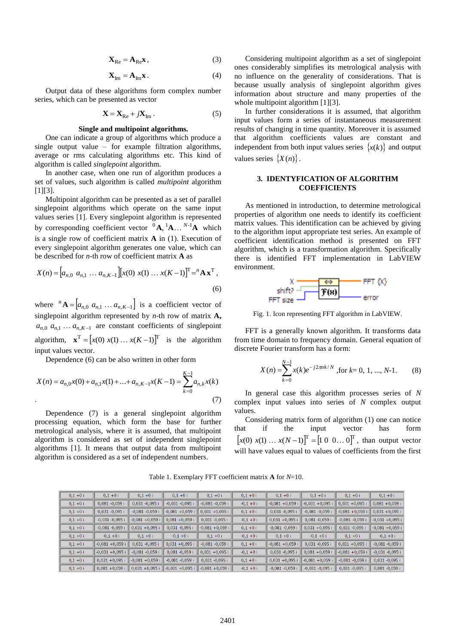$$
\mathbf{X}_{\text{Re}} = \mathbf{A}_{\text{Re}} \mathbf{x},\tag{3}
$$

$$
\mathbf{X}_{\text{Im}} = \mathbf{A}_{\text{Im}} \mathbf{x} \,. \tag{4}
$$

Output data of these algorithms form complex number series, which can be presented as vector

$$
\mathbf{X} = \mathbf{X}_{\text{Re}} + j\mathbf{X}_{\text{Im}}\,. \tag{5}
$$

### **Single and multipoint algorithms.**

One can indicate a group of algorithms which produce a single output value – for example filtration algorithms, average or rms calculating algorithms etc. This kind of algorithm is called *singlepoint* algorithm.

In another case, when one run of algorithm produces a set of values, such algorithm is called *multipoint* algorithm  $[1]$ [3].

Multipoint algorithm can be presented as a set of parallel singlepoint algorithms which operate on the same input values series [1]. Every singlepoint algorithm is represented by corresponding coefficient vector  ${}^{0}$ **A**,  ${}^{1}$ **A** ...  ${}^{N-1}$ **A** which is a single row of coefficient matrix **A** in (1). Execution of every singlepoint algorithm generates one value, which can be described for *n*-th row of coefficient matrix **A** as

$$
X(n) = [a_{n,0} \ a_{n,1} \ \dots \ a_{n,K-1}] [x(0) \ x(1) \ \dots \ x(K-1)]^{\mathrm{T}} = {^n} \mathbf{A} \mathbf{x}^{\mathrm{T}},
$$
\n(6)

where  ${}^{n}$ **A** =  $[a_{n,0}$   $a_{n,1}$   $\ldots$   $a_{n,K-1}]$  is a coefficient vector of singlepoint algorithm represented by *n*-th row of matrix **A,**  $a_{n,0}$   $a_{n,1}$   $\ldots$   $a_{n,K-1}$  are constant coefficients of singlepoint algorithm,  $\mathbf{x}^T = [x(0) \ x(1) \dots x(K-1)]^T$  is the algorithm input values vector.

Dependence (6) can be also written in other form

$$
X(n) = a_{n,0}x(0) + a_{n,1}x(1) + \dots + a_{n,K-1}x(K-1) = \sum_{k=0}^{K-1} a_{n,k}x(k)
$$
\n(7)

Dependence (7) is a general singlepoint algorithm processing equation, which form the base for further metrological analysis, where it is assumed, that multipoint algorithm is considered as set of independent singlepoint algorithms [1]. It means that output data from multipoint algorithm is considered as a set of independent numbers.

Considering multipoint algorithm as a set of singlepoint ones considerably simplifies its metrological analysis with no influence on the generality of considerations. That is because usually analysis of singlepoint algorithm gives information about structure and many properties of the whole multipoint algorithm [1][3].

In further considerations it is assumed, that algorithm input values form a series of instantaneous measurement results of changing in time quantity. Moreover it is assumed that algorithm coefficients values are constant and independent from both input values series  $\{x(k)\}\$ and output values series  $\{X(n)\}\.$ 

# **3. IDENTYFICATION OF ALGORITHM COEFFICIENTS**

As mentioned in introduction, to determine metrological properties of algorithm one needs to identify its coefficient matrix values. This identification can be achieved by giving to the algorithm input appropriate test series. An example of coefficient identification method is presented on FFT algorithm, which is a transformation algorithm. Specifically there is identified FFT implementation in LabVIEW environment.



Fig. 1. Icon representing FFT algorithm in LabVIEW.

FFT is a generally known algorithm. It transforms data from time domain to frequency domain. General equation of discrete Fourier transform has a form:

$$
X(n) = \sum_{k=0}^{N-1} x(k)e^{-j2\pi nk/N}
$$
, for k= 0, 1, ..., N-1. (8)

In general case this algorithm processes series of *N* complex input values into series of *N* complex output values.

Considering matrix form of algorithm (1) one can notice that if the input vector has form  $[x(0) x(1) ... x(N-1)]^T = [1 \ 0 \ 0 ... 0]^T$ , than output vector will have values equal to values of coefficients from the first

Table 1. Exemplary FFT coefficient matrix **A** for *N*=10.

| $0,1+0$ i  | $0,1+0$ i          | $0,1 + 0i$                       | $0,1+0i$                  | $0,1+0i$           | $0,1+0$ i  | $0,1 + 0i$         | $0,1+0$ i          | $0,1+0$ i          | $0,1+0$ i          |
|------------|--------------------|----------------------------------|---------------------------|--------------------|------------|--------------------|--------------------|--------------------|--------------------|
| $0,1+0i$   | $0,081 -0,059$ i   | $0,031 -0,095i$                  | $-0,031 -0,095$ i         | $-0,081 -0,059$ i  | $-0,1+0i$  | $-0,081 + 0,059$ i | $-0.031 + 0.095$ i | $0,031 + 0,095$ i  | $0,081 + 0,059$ i  |
| $0,1+0i$   | $0,031 -0,095$ i   | $-0,081 -0,059$ i                | $-0,081 + 0,059$ i        | $0,031 + 0,095$ i  | $0,1 + 0i$ | $0,031 -0,095$ i   | $-0,081 -0,059$ i  | $-0,081 + 0,059$ i | $0,031 + 0,095$ i  |
| $0,1+0i$   | $-0.031 - 0.095$ i | $-0,081 + 0,059$ i               | $0,081 + 0,059$ i         | $0,031 -0,095$ i   | $-0,1+0$ i | $0,031 + 0,095$ i  | $0,081 -0,059$ i   | $-0,081 -0,059$ i  | $-0,031 + 0,095i$  |
| $0,1 + 0i$ | $-0,081 -0,059$ i  | $0,031 + 0,095$ i                | $0,031 -0,095i$           | $-0,081 + 0,059$ i | $0,1 + 0i$ | $-0,081 -0,059$ i  | $0,031 + 0,095$ i  | $0,031 -0,095i$    | $-0,081 + 0,059$ i |
| $0,1+0i$   | $-0,1+0$ i         | $0,1 + 0i$                       | $-0.1 + 0i$               | $0,1 + 0i$         | $-0,1+0$ i | $0,1 + 0i$         | $-0.1 + 0i$        | $0.1 + 0i$         | $-0,1+0$ i         |
| $0,1 + 0i$ | $-0,081 + 0,059$ i | $0,031 -0,095i$                  | $0,031 + 0,095$ i         | $-0,081 -0,059$ i  | $0,1 + 0i$ | $-0,081 + 0,059$ i | $0,031 - 0,095$ i  | $0,031 + 0,095$ i  | $-0,081 -0,059$ i  |
| $0,1 + 0i$ | $-0.031 + 0.095i$  | $-0,081 -0,059$ i                | $0,081 -0,059$ i          | $0.031 + 0.095$ i  | $-0,1+0$ i | $0,031 - 0,095i$   | $0,081 + 0,059$ i  | $-0,081 + 0,059$ i | $-0,031 -0,095$ i  |
| $0,1+0i$   | $0,031 + 0,095$ i  | $-0,081 + 0,059$ i               | $-0,081 -0,059$ i         | $0,031 -0,095$ i   | $0,1 + 0i$ | $0,031 + 0,095$ i  | $-0,081 + 0,059$ i | $-0,081 -0,059$ i  | $0,031 - 0,095$ i  |
| $0,1+0i$   |                    | $0,081 + 0,059$ i 0,031 +0,095 i | $\vert$ -0,031 +0,095 ill | $-0,081 + 0,059$ i | $-0,1+0$ i | $-0,081 - 0,059$ i | $-0,031 -0,095$ i  | $0,031 -0,095$ i   | $0,081 - 0,059$ i  |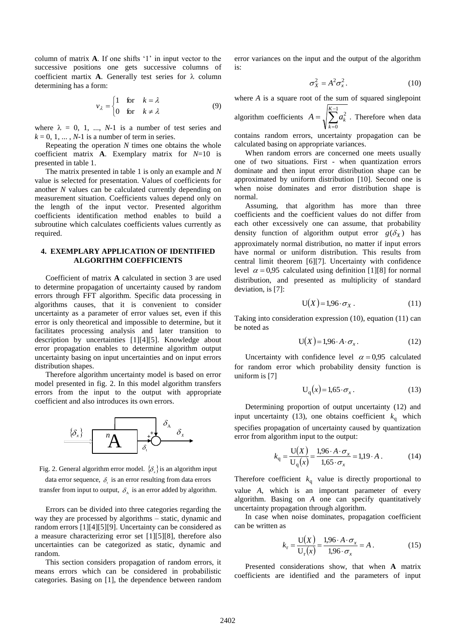column of matrix **A**. If one shifts '1' in input vector to the successive positions one gets successive columns of coefficient martix **A**. Generally test series for  $\lambda$  column determining has a form:

$$
v_{\lambda} = \begin{cases} 1 & \text{for } k = \lambda \\ 0 & \text{for } k \neq \lambda \end{cases}
$$
 (9)

where  $\lambda = 0, 1, ..., N-1$  is a number of test series and  $k = 0, 1, \dots, N-1$  is a number of term in series.

Repeating the operation *N* times one obtains the whole coefficient matrix **A**. Exemplary matrix for *N*=10 is presented in table 1.

The matrix presented in table 1 is only an example and *N* value is selected for presentation. Values of coefficients for another *N* values can be calculated currently depending on measurement situation. Coefficients values depend only on the length of the input vector. Presented algorithm coefficients identification method enables to build a subroutine which calculates coefficients values currently as required.

# **4. EXEMPLARY APPLICATION OF IDENTIFIED ALGORITHM COEFFICIENTS**

Coefficient of matrix **A** calculated in section 3 are used to determine propagation of uncertainty caused by random errors through FFT algorithm. Specific data processing in algorithms causes, that it is convenient to consider uncertainty as a parameter of error values set, even if this error is only theoretical and impossible to determine, but it facilitates processing analysis and later transition to description by uncertainties [1][4][5]. Knowledge about error propagation enables to determine algorithm output uncertainty basing on input uncertainties and on input errors distribution shapes.

Therefore algorithm uncertainty model is based on error model presented in fig. 2. In this model algorithm transfers errors from the input to the output with appropriate coefficient and also introduces its own errors.





data error sequence,  $\delta_{\tau}$  is an error resulting from data errors transfer from input to output,  $\delta_{\rm A}$  is an error added by algorithm.

Errors can be divided into three categories regarding the way they are processed by algorithms – static, dynamic and random errors [1][4][5][9]. Uncertainty can be considered as a measure characterizing error set [1][5][8], therefore also uncertainties can be categorized as static, dynamic and random.

This section considers propagation of random errors, it means errors which can be considered in probabilistic categories. Basing on [1], the dependence between random error variances on the input and the output of the algorithm is:

$$
\sigma_X^2 = A^2 \sigma_x^2. \tag{10}
$$

where *A* is a square root of the sum of squared singlepoint

algorithm coefficients  $A = \sqrt{\sum_{n=1}^{K-1}}$  $\equiv$  $=$ 1  $\theta$  $\sum_{a=1}^{K-1}$ *k*  $A = \sqrt{\sum a_k^2}$ . Therefore when data contains random errors, uncertainty propagation can be calculated basing on appropriate variances.

When random errors are concerned one meets usually one of two situations. First - when quantization errors dominate and then input error distribution shape can be approximated by uniform distribution [10]. Second one is when noise dominates and error distribution shape is normal.

Assuming, that algorithm has more than three coefficients and the coefficient values do not differ from each other excessively one can assume, that probability density function of algorithm output error  $g(\delta_X)$  has approximately normal distribution, no matter if input errors have normal or uniform distribution. This results from central limit theorem [6][7]. Uncertainty with confidence level  $\alpha = 0.95$  calculated using definition [1][8] for normal distribution, and presented as multiplicity of standard deviation, is [7]:

$$
U(X) = 1.96 \cdot \sigma_X \,. \tag{11}
$$

Taking into consideration expression (10), equation (11) can be noted as

$$
U(X) = 1,96 \cdot A \cdot \sigma_x. \tag{12}
$$

Uncertainty with confidence level  $\alpha = 0.95$  calculated for random error which probability density function is uniform is [7]

$$
U_q(x) = 1,65 \cdot \sigma_x \,. \tag{13}
$$

Determining proportion of output uncertainty (12) and input uncertainty (13), one obtains coefficient  $k_q$  which specifies propagation of uncertainty caused by quantization error from algorithm input to the output:

$$
k_{\rm q} = \frac{\mathbf{U}(X)}{\mathbf{U}_{\rm q}(x)} = \frac{1.96 \cdot A \cdot \sigma_x}{1.65 \cdot \sigma_x} = 1.19 \cdot A \,. \tag{14}
$$

Therefore coefficient  $k<sub>q</sub>$  value is directly proportional to value *A*, which is an important parameter of every algorithm. Basing on *A* one can specify quantitatively uncertainty propagation through algorithm.

In case when noise dominates, propagation coefficient can be written as

$$
k_{\rm r} = \frac{\mathbf{U}(X)}{\mathbf{U}_{\rm r}(x)} = \frac{1.96 \cdot A \cdot \sigma_x}{1.96 \cdot \sigma_x} = A \,. \tag{15}
$$

Presented considerations show, that when **A** matrix coefficients are identified and the parameters of input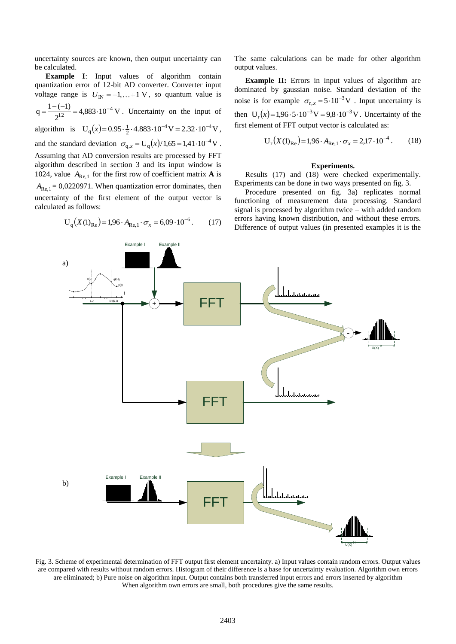uncertainty sources are known, then output uncertainty can be calculated.

**Example I**: Input values of algorithm contain quantization error of 12-bit AD converter. Converter input voltage range is  $U_{\text{IN}} = -1, \dots + 1$  V, so quantum value is  $4,883 \cdot 10^{-4}$  V 2  $q = \frac{1 - (-1)}{12} = 4,883 \cdot 10^{-4}$ 12  $=\frac{1-(-1)}{12}=4,883 \cdot 10^{-4} \text{ V}$ . Uncertainty on the input of algorithm is  $U_q(x) = 0.95 \cdot \frac{1}{2} \cdot 4.883 \cdot 10^{-4} V = 2.32 \cdot 10^{-4} V$ 2  $_{q}(x)$  = 0.95  $\cdot \frac{1}{2}$  · 4.883 · 10<sup>-4</sup> V = 2.32 · 10<sup>-4</sup> V, and the standard deviation  $\sigma_{q,x} = U_q(x)/1,65 = 1,41 \cdot 10^{-4} V$ . Assuming that AD conversion results are processed by FFT algorithm described in section 3 and its input window is 1024, value  $A_{\text{Re},1}$  for the first row of coefficient matrix **A** is  $A_{\text{Re},1}$  = 0,0220971. When quantization error dominates, then uncertainty of the first element of the output vector is calculated as follows:

$$
U_q(X(1)_{Re}) = 1.96 \cdot A_{Re,1} \cdot \sigma_x = 6.09 \cdot 10^{-6}.
$$
 (17)

The same calculations can be made for other algorithm output values.

**Example II:** Errors in input values of algorithm are dominated by gaussian noise. Standard deviation of the noise is for example  $\sigma_{r,x} = 5.10^{-3} V$ . Input uncertainty is then  $U_r(x) = 1.96 \cdot 5 \cdot 10^{-3} V = 9.8 \cdot 10^{-3} V$ . Uncertainty of the first element of FFT output vector is calculated as:

$$
U_r(X(1)_{Re}) = 1.96 \cdot A_{Re,1} \cdot \sigma_x = 2.17 \cdot 10^{-4} \,. \tag{18}
$$

#### **Experiments.**

Results (17) and (18) were checked experimentally. Experiments can be done in two ways presented on fig. 3.

Procedure presented on fig. 3a) replicates normal functioning of measurement data processing. Standard signal is processed by algorithm twice – with added random errors having known distribution, and without these errors. Difference of output values (in presented examples it is the



Fig. 3. Scheme of experimental determination of FFT output first element uncertainty. a) Input values contain random errors. Output values are compared with results without random errors. Histogram of their difference is a base for uncertainty evaluation. Algorithm own errors are eliminated; b) Pure noise on algorithm input. Output contains both transferred input errors and errors inserted by algorithm When algorithm own errors are small, both procedures give the same results.